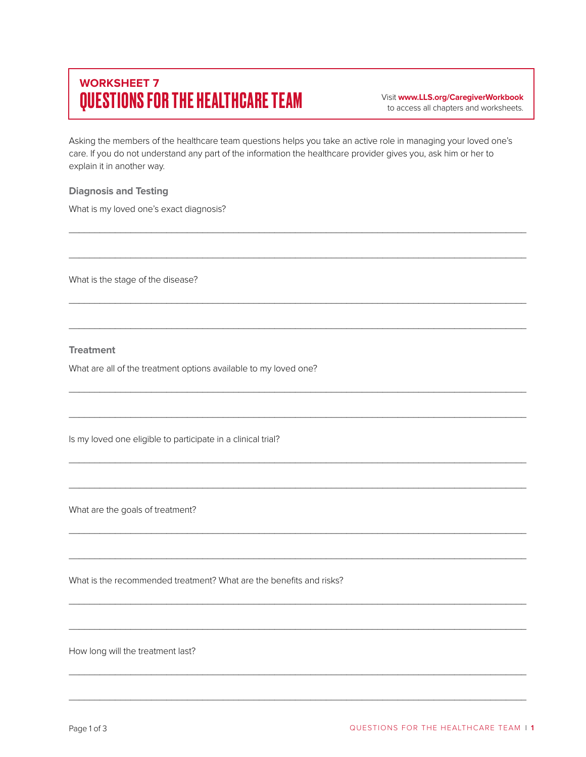## **WORKSHEET 7 QUESTIONS FOR THE HEALTHCARE TEAM** Visit www.LLS.org/CaregiverWorkbook

to access all chapters and worksheets.

Asking the members of the healthcare team questions helps you take an active role in managing your loved one's care. If you do not understand any part of the information the healthcare provider gives you, ask him or her to explain it in another way.

\_\_\_\_\_\_\_\_\_\_\_\_\_\_\_\_\_\_\_\_\_\_\_\_\_\_\_\_\_\_\_\_\_\_\_\_\_\_\_\_\_\_\_\_\_\_\_\_\_\_\_\_\_\_\_\_\_\_\_\_\_\_\_\_\_\_\_\_\_\_\_\_\_\_\_\_\_\_\_\_\_\_\_\_\_\_\_\_\_

\_\_\_\_\_\_\_\_\_\_\_\_\_\_\_\_\_\_\_\_\_\_\_\_\_\_\_\_\_\_\_\_\_\_\_\_\_\_\_\_\_\_\_\_\_\_\_\_\_\_\_\_\_\_\_\_\_\_\_\_\_\_\_\_\_\_\_\_\_\_\_\_\_\_\_\_\_\_\_\_\_\_\_\_\_\_\_\_\_

\_\_\_\_\_\_\_\_\_\_\_\_\_\_\_\_\_\_\_\_\_\_\_\_\_\_\_\_\_\_\_\_\_\_\_\_\_\_\_\_\_\_\_\_\_\_\_\_\_\_\_\_\_\_\_\_\_\_\_\_\_\_\_\_\_\_\_\_\_\_\_\_\_\_\_\_\_\_\_\_\_\_\_\_\_\_\_\_\_

\_\_\_\_\_\_\_\_\_\_\_\_\_\_\_\_\_\_\_\_\_\_\_\_\_\_\_\_\_\_\_\_\_\_\_\_\_\_\_\_\_\_\_\_\_\_\_\_\_\_\_\_\_\_\_\_\_\_\_\_\_\_\_\_\_\_\_\_\_\_\_\_\_\_\_\_\_\_\_\_\_\_\_\_\_\_\_\_\_

\_\_\_\_\_\_\_\_\_\_\_\_\_\_\_\_\_\_\_\_\_\_\_\_\_\_\_\_\_\_\_\_\_\_\_\_\_\_\_\_\_\_\_\_\_\_\_\_\_\_\_\_\_\_\_\_\_\_\_\_\_\_\_\_\_\_\_\_\_\_\_\_\_\_\_\_\_\_\_\_\_\_\_\_\_\_\_\_\_

\_\_\_\_\_\_\_\_\_\_\_\_\_\_\_\_\_\_\_\_\_\_\_\_\_\_\_\_\_\_\_\_\_\_\_\_\_\_\_\_\_\_\_\_\_\_\_\_\_\_\_\_\_\_\_\_\_\_\_\_\_\_\_\_\_\_\_\_\_\_\_\_\_\_\_\_\_\_\_\_\_\_\_\_\_\_\_\_\_

\_\_\_\_\_\_\_\_\_\_\_\_\_\_\_\_\_\_\_\_\_\_\_\_\_\_\_\_\_\_\_\_\_\_\_\_\_\_\_\_\_\_\_\_\_\_\_\_\_\_\_\_\_\_\_\_\_\_\_\_\_\_\_\_\_\_\_\_\_\_\_\_\_\_\_\_\_\_\_\_\_\_\_\_\_\_\_\_\_

\_\_\_\_\_\_\_\_\_\_\_\_\_\_\_\_\_\_\_\_\_\_\_\_\_\_\_\_\_\_\_\_\_\_\_\_\_\_\_\_\_\_\_\_\_\_\_\_\_\_\_\_\_\_\_\_\_\_\_\_\_\_\_\_\_\_\_\_\_\_\_\_\_\_\_\_\_\_\_\_\_\_\_\_\_\_\_\_\_

\_\_\_\_\_\_\_\_\_\_\_\_\_\_\_\_\_\_\_\_\_\_\_\_\_\_\_\_\_\_\_\_\_\_\_\_\_\_\_\_\_\_\_\_\_\_\_\_\_\_\_\_\_\_\_\_\_\_\_\_\_\_\_\_\_\_\_\_\_\_\_\_\_\_\_\_\_\_\_\_\_\_\_\_\_\_\_\_\_

 $\mathcal{L}_\mathcal{L}$  , and the set of the set of the set of the set of the set of the set of the set of the set of the set of the set of the set of the set of the set of the set of the set of the set of the set of the set of th

\_\_\_\_\_\_\_\_\_\_\_\_\_\_\_\_\_\_\_\_\_\_\_\_\_\_\_\_\_\_\_\_\_\_\_\_\_\_\_\_\_\_\_\_\_\_\_\_\_\_\_\_\_\_\_\_\_\_\_\_\_\_\_\_\_\_\_\_\_\_\_\_\_\_\_\_\_\_\_\_\_\_\_\_\_\_\_\_\_

\_\_\_\_\_\_\_\_\_\_\_\_\_\_\_\_\_\_\_\_\_\_\_\_\_\_\_\_\_\_\_\_\_\_\_\_\_\_\_\_\_\_\_\_\_\_\_\_\_\_\_\_\_\_\_\_\_\_\_\_\_\_\_\_\_\_\_\_\_\_\_\_\_\_\_\_\_\_\_\_\_\_\_\_\_\_\_\_\_

\_\_\_\_\_\_\_\_\_\_\_\_\_\_\_\_\_\_\_\_\_\_\_\_\_\_\_\_\_\_\_\_\_\_\_\_\_\_\_\_\_\_\_\_\_\_\_\_\_\_\_\_\_\_\_\_\_\_\_\_\_\_\_\_\_\_\_\_\_\_\_\_\_\_\_\_\_\_\_\_\_\_\_\_\_\_\_\_\_

\_\_\_\_\_\_\_\_\_\_\_\_\_\_\_\_\_\_\_\_\_\_\_\_\_\_\_\_\_\_\_\_\_\_\_\_\_\_\_\_\_\_\_\_\_\_\_\_\_\_\_\_\_\_\_\_\_\_\_\_\_\_\_\_\_\_\_\_\_\_\_\_\_\_\_\_\_\_\_\_\_\_\_\_\_\_\_\_\_

## **Diagnosis and Testing**

What is my loved one's exact diagnosis?

What is the stage of the disease?

## **Treatment**

What are all of the treatment options available to my loved one?

Is my loved one eligible to participate in a clinical trial?

What are the goals of treatment?

What is the recommended treatment? What are the benefits and risks?

How long will the treatment last?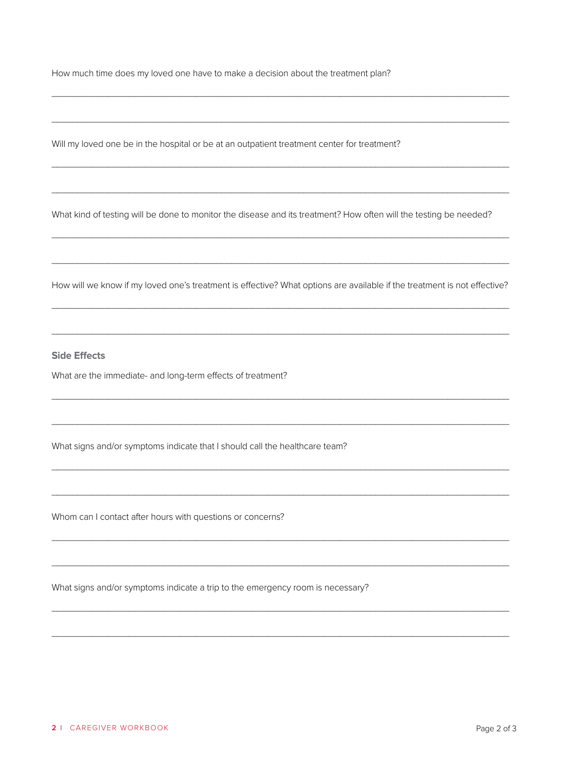How much time does my loved one have to make a decision about the treatment plan?

Will my loved one be in the hospital or be at an outpatient treatment center for treatment?

What kind of testing will be done to monitor the disease and its treatment? How often will the testing be needed?

How will we know if my loved one's treatment is effective? What options are available if the treatment is not effective?

## **Side Effects**

What are the immediate- and long-term effects of treatment?

What signs and/or symptoms indicate that I should call the healthcare team?

Whom can I contact after hours with questions or concerns?

What signs and/or symptoms indicate a trip to the emergency room is necessary?